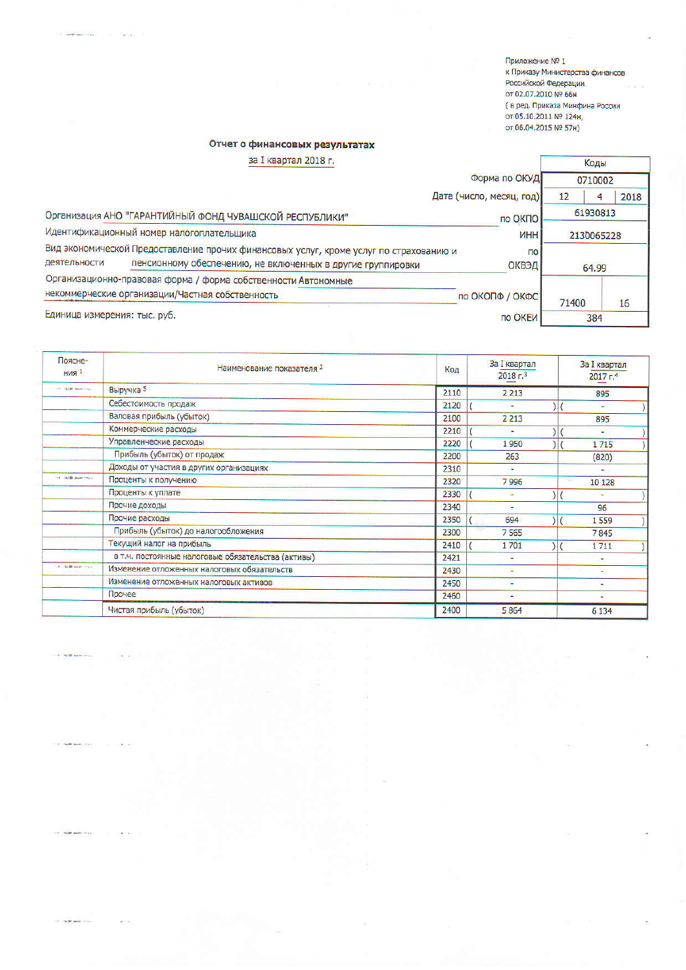Приложение № 1 к Приказу Министерства финансов Российской Федерации от 02.07.2010 № 66н ( в ред. Приказа Минфина России от 05.10.2011 № 124н,<br>от 06.04.2015 № 57н)

## Отчет о финансовых результатах

**HORE AND** 

HOLD SHAPE

**NORTHERN AND** 

the country seats they

| за I квартал 2018 г.                      |                                                                                                                                                       |                          | Коды       |         |      |
|-------------------------------------------|-------------------------------------------------------------------------------------------------------------------------------------------------------|--------------------------|------------|---------|------|
|                                           |                                                                                                                                                       | Форма по ОКУД            |            | 0710002 |      |
|                                           |                                                                                                                                                       | Дата (число, месяц, год) | 12         | 4       | 2018 |
|                                           | Организация АНО "ГАРАНТИЙНЫЙ ФОНД ЧУВАШСКОЙ РЕСПУБЛИКИ"                                                                                               | 61930813<br>по ОКПО      |            |         |      |
| Идентификационный номер налогоплательщика |                                                                                                                                                       | <b>UHH</b>               | 2130065228 |         |      |
| деятельности                              | Вид экономической Предоставление прочих финансовых услуг, кроме услуг по страхованию и<br>пенсионному обеспечению, не включенных в другие группировки | $\overline{10}$<br>ОКВЭД |            | 64.99   |      |
|                                           | Организационно-правовая форма / форма собственности Автономные                                                                                        |                          |            |         |      |
|                                           | некоммерческие организации/Частная собственность                                                                                                      | по ОКОПФ / ОКФС          | 71400      |         | 16   |
| Единица измерения: тыс. руб.              |                                                                                                                                                       | по ОКЕИ                  |            | 384     |      |

| Поясне-<br><b>НИЯ</b> 1 | Наименование показателя 2                          | Код  | <b>За I квартал</b><br>2018 <sub>5</sub> | За I квартал<br>2017 <sub>5</sub> |
|-------------------------|----------------------------------------------------|------|------------------------------------------|-----------------------------------|
| the reality sense that  | Выручка 5                                          | 2110 | 2 2 1 3                                  | 895                               |
|                         | Себестоимость продаж                               | 2120 | $\sim$                                   | القا                              |
|                         | Валовая прибыль (убыток)                           | 2100 | 2 2 1 3                                  | 895                               |
|                         | Коммерческие расходы                               | 2210 |                                          | w.                                |
|                         | Управленческие расходы                             | 2220 | 1950                                     | 1715                              |
|                         | Прибыль (убыток) от продаж                         | 2200 | 263                                      | (820)                             |
|                         | Доходы от участия в других организациях            | 2310 | ٠                                        | ٠                                 |
| the cartill sales rays. | Проценты к получению                               | 2320 | 7996                                     | .<br>10 128                       |
|                         | Проценты к уплате                                  | 2330 | ٠                                        | ÷                                 |
|                         | Прочие доходы                                      | 2340 | ۰                                        | 96                                |
|                         | Прочие расходы                                     | 2350 | 694                                      | 1 5 5 9                           |
|                         | Прибыль (убыток) до налогообложения                | 2300 | 7 5 6 5                                  | 7845                              |
|                         | Текущий налог на прибыль                           | 2410 | 1701                                     | 1711                              |
|                         | в т.ч. постоянные налоговые обязательства (активы) | 2421 |                                          | ٠                                 |
| the carter sense when   | Изменение отложенных налоговых обязательств        | 2430 | ٠                                        |                                   |
|                         | Изменение отложенных налоговых активов             | 2450 |                                          | ٠                                 |
|                         | Прочее                                             | 2460 | ۰                                        | ٠                                 |
|                         | Чистая прибыль (убыток)                            | 2400 | 5864                                     | 6 1 3 4                           |